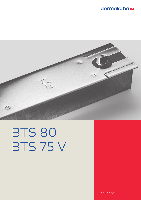## dormakaba<sub>z</sub>



# BTS 80 BTS 75 V

Floor Springs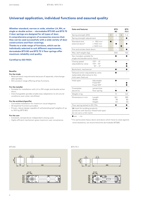## **Universal application, individual functions and assured quality**

**Whether standard, narrow or wide, whether LH, RH, or single or double action – dormakaba BTS 80 and BTS 75 V door springs are designed for all types of door. A comprehensive program of accessories ensures that they can be used successfully with a wide variety of door constructions and floor coverings.** 

**Thanks to a wide range of functions, which can be individually selected to suit different requirements, dormakaba BTS 80 and BTS 75 V floor springs offer maximum reliability and quality.** 

#### **Certified to ISO 9001.**

#### **Benefits**

#### **For the trade**

- Reduced stock requirements because of separate, interchangeable spindles.
- Slim product range offering all key functions.

#### **For the installer**

- Suitable for installation with LH or RH single and double action doors.
- Interchangeable spindles enable easy adaptation to structural conditions-even when retrofitted.

#### **For the architect/specifier**

- Concealed installation for maximum visual elegance.
- All essential functions provided.
- Proven, robust design capable of withstanding leaf weights of up to 300 kg (BTS 80).

#### **For the user**

- Constant, temperature-independant closing cycle.
- Highly efficient mechanism gives maximum user convenience.

| <b>Data and features</b>                                                                            |                                                                                     |     | <b>BTS</b><br>80 |                 | BTS<br>75 V |  |  |
|-----------------------------------------------------------------------------------------------------|-------------------------------------------------------------------------------------|-----|------------------|-----------------|-------------|--|--|
| Spring strength (EN)                                                                                | 3                                                                                   | 4   | 6                | $1 - 4$         |             |  |  |
| Spring strength adjustment                                                                          |                                                                                     |     |                  |                 |             |  |  |
| Standard and<br>external doors <sup>1)</sup>                                                        | 950 mm<br>$\,<\,$<br>$\leq 1100$ mm<br>$\leq 1400$ mm                               |     |                  |                 |             |  |  |
| Fire and smoke check doors                                                                          |                                                                                     |     |                  |                 |             |  |  |
| Max. leaf weight (kg)                                                                               |                                                                                     | 300 |                  | 120             |             |  |  |
| Non-handed, suitable for<br>single and double action doors                                          |                                                                                     |     |                  |                 |             |  |  |
| Closing speed<br>adjustable by value                                                                | $175^{\circ} - 0^{\circ}$<br>$175^{\circ} - 15^{\circ}$<br>$15^{\circ} - 0^{\circ}$ |     |                  |                 |             |  |  |
| Backcheck, mechanical                                                                               |                                                                                     |     |                  |                 |             |  |  |
| Delayed action adjustable by valve<br>(selectable alternative to the<br>hold-open feature)          |                                                                                     |     |                  |                 |             |  |  |
| Hold-open                                                                                           | Adjustable<br>Fixed 90°<br>Fixed 105°                                               |     |                  |                 |             |  |  |
| Coverplate<br>secure to                                                                             | cement box<br>floor spring                                                          |     |                  |                 |             |  |  |
| Weight in kg                                                                                        |                                                                                     |     | 7,1              |                 | 3,0         |  |  |
| Dimensions in mm                                                                                    | Length<br>Width<br>Height                                                           |     | 341<br>78<br>60  | 285<br>82<br>50 |             |  |  |
| Floor spring tested to EN 1154                                                                      |                                                                                     |     |                  |                 |             |  |  |
| CC-mark for building products<br>(products with factory-fitted hold-open<br>do not carry a CE mark) |                                                                                     |     |                  |                 |             |  |  |

#### $\bullet$  yes – no

<sup>1)</sup> For particularly heavy doors and doors which have to close against wind resistance, we recommend the dormakaba BTS80.



#### BTS 80 BTS 75 V

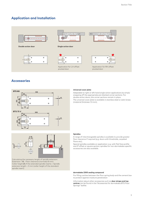## **Application and Installation**



**Double action door Single action door**







Application for LH offset pivoted door





Application for RH offset pivoted door

## **Accessories**





Calculating the necessary length of spindle extension: Extension = **X** – Floor clearance (normally 8 mm) Collar height **Z** of the extended spindle inserts = Spindle extension length + 3 mm (collar height of the standard spindle insert)

#### **Universal cover plate**

Adaptable to right or left hand single action applications by simply snapping off the appropriate pre-blanked corner sections. For double action doors, the corner sections remain in place. The universal cover plate is available in stainless steel or satin brass (material thickness 1.5 mm).

#### **Spindles**

A range of interchangeable spindles is available to provide greater floor clearance if required (e.g. doors with thresholds, carpeted floors etc).

Special spindles available on application: e.g. with flat face profile and 3° offset or square section; spindles for non-dormakaba-specific accessories are also available.

#### **dormakaba 2300 sealing compound**

For filling cavities between the floor spring body and the cement box to protect against moisture penetration

Information about other accessories such as **door straps and top centres** can be found in the "Accessories for dormakaba BTS Floor Springs" leaflet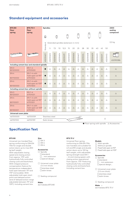## **Standard equipment and accessories**

| <b>BTS 80</b><br>floor<br>spring          | <b>BTS 75 V</b><br>floor<br>spring             | <b>Spindles</b>                                 |                 |             |             |             |             |             |             |             |             |             | 2300<br>sealing<br>compound |             |          |             |  |
|-------------------------------------------|------------------------------------------------|-------------------------------------------------|-----------------|-------------|-------------|-------------|-------------|-------------|-------------|-------------|-------------|-------------|-----------------------------|-------------|----------|-------------|--|
|                                           |                                                | $\oplus$                                        |                 | $\oplus$    |             |             | A           |             |             |             |             |             |                             |             |          |             |  |
|                                           |                                                | Standard<br>Extended spindles (extension in mm) |                 |             |             |             |             |             |             |             |             | $0,5$ kg    |                             |             |          |             |  |
|                                           |                                                |                                                 | 5               | 7,5         | 10          | 12,5        | 15          | 20          | 25          | 28          | 30          | 35          | 40                          | 45          | 50       |             |  |
|                                           |                                                | <b>45200401</b>                                 | <b>\$200402</b> | 45200403    | 45200404    | 45200419    | 45200405    | 45200406    | 45200407    | 45200414    | 45200408    | 45200409    | 45200410                    | 45200411    | 45200412 | 45090086    |  |
| Including cement box and standard spindle |                                                |                                                 |                 |             |             |             |             |             |             |             |             |             |                             |             |          |             |  |
| EN3<br>80120000                           | EN 1-4<br>61701000                             |                                                 | Δ               | $\triangle$ | Δ           | $\triangle$ | Δ           | $\triangle$ | Δ           | $\triangle$ | Δ           | $\triangle$ | Δ                           | $\triangle$ | Δ        | $\triangle$ |  |
| EN <sub>4</sub><br>80110000               | $EN 1-4 with$<br>hold-open at 90°<br>61701200  |                                                 | Δ               | $\triangle$ | $\triangle$ | $\triangle$ | $\triangle$ | $\triangle$ | $\triangle$ | $\triangle$ | $\triangle$ | $\triangle$ | Δ                           | $\triangle$ | Δ        | $\triangle$ |  |
| EN <sub>6</sub><br>80130000               | $EN 1-4 with$<br>hold open at 105°<br>61701300 |                                                 | Δ               | $\triangle$ | Δ           | $\triangle$ | Δ           | $\triangle$ | $\triangle$ | $\triangle$ | $\triangle$ | $\triangle$ | Δ                           | $\triangle$ | Δ        | $\triangle$ |  |
| Including cement box without spindle      |                                                |                                                 |                 |             |             |             |             |             |             |             |             |             |                             |             |          |             |  |
| EN <sub>3</sub><br>80120001               | $EN 1-4$<br>61701001                           | $\triangle$                                     | Δ               | $\triangle$ | Δ           | $\triangle$ | Δ           | $\triangle$ | Δ           | $\triangle$ | Δ           | $\triangle$ | $\triangle$                 | $\triangle$ | Δ        | $\triangle$ |  |
| EN4<br>80110001                           | $EN 1-4 with$<br>hold-open at 90°<br>61701201  | $\triangle$                                     | Δ               | $\triangle$ | Δ           | $\triangle$ | Δ           | $\triangle$ | Δ           | $\triangle$ | Δ           | Δ           | Δ                           | Δ           | Δ        | $\triangle$ |  |
| EN <sub>6</sub><br>80130001               | $EN 1-4 with$<br>hold-open at 105°<br>61701301 | $\triangle$                                     | Δ               | $\triangle$ | Δ           | $\triangle$ | Δ           | Δ           | Δ           | Δ           | Δ           | $\triangle$ | Δ                           | $\triangle$ | Δ        | $\triangle$ |  |
| Universal cover plate                     |                                                |                                                 |                 |             |             |             |             |             |             |             |             |             |                             |             |          |             |  |
| 46700000                                  | 46700059                                       | Stainless steel                                 |                 |             |             |             | €           |             |             |             |             |             | $\triangle$                 |             |          |             |  |
| 46700100                                  | 46700159                                       | Satin brass                                     |                 |             |             |             |             |             |             |             |             |             |                             |             |          |             |  |

 $\bullet$  Floor spring with spindle  $\triangle$  Accessories

## **Specification Text**

#### **BTS 80**

Universal non-handed floor spring conforming to DIN EN 1154 for single and double action doors up to max.300 kg leaf weight. With adjustable closing speed and closing action from approx. 175°, with hydraulically fully controlled closing cycle and backcheck. With integral pressure compensation feature for temperature-independent hold-open between 75° and 175° (removable). With adjustable hold-open start point and delayed action (end of delayed action range adjustable between 75° and 105°). Including cement box.

#### **Size** ☐ EN 3  $\square$  EN 4  $\Box$  EN 6

#### **Accessories**

- ☐ Spindle ☐standard
	- ☐... mm extension ☐special design...
- ☐ Universal cover plate (1.5 mm thick) ☐stainless steel ☐satin brass

#### □ Sealing compound

#### **Make:**

dormakaba BTS 80

#### **BTS 75 V**

Universal floor spring conforming to DIN EN 1154, non-handed unit suitable for LH and RH single and double action doors up to 120 kg leaf weight, with adjustable spring strength (size EN 1 – 4) and closing speed, with closing action operational from approx. 175°. Featuring hydraulically fully controlled closing cycle and backcheck. Including cement box.

### **Models**

- ☐ With spindle
- ☐ Without spindle
- ☐ Fixed hold-open at 90° ☐ Fixed hold-open at 105°
- 

#### **Accessories**

- □ Spindle ☐standard ☐... mm extension ☐special design...
- □ Universal cover plate (1.5 mm thick) ☐stainless steel ☐satin brass

□ Sealing compound

**Make :** dormakaba BTS 75 V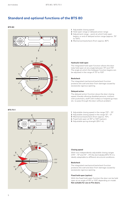## **Standard and optional functions of the BTS 80**

#### **BTS 80**







- **1** Adjustable closing speed
- **2** Hold-open range or delayed action range
- **3** Adjustment range point at which hold-open begins, or end of delayed action range (approx. 75° to 105°).
- **4** Mechanical backcheck (from approx. 80°)

#### **Hydraulic hold-open**

The integrated hold-open function allows the door tobe held open at any angle between 75° and 175°. The angle at which the holdopen function begins can be adjusted in the range of 75° to 105°.

#### **Backcheck**

The integrated mechanical backcheck function protects the wall and door from damage caused by excessively vigorous opening.

#### **Delayed action**

The delayed action function slows the door closing speed, thereby allowing disabled persons, mothers with pushchairs, staff with trolleys or hospital gurneys etc. to pass through the door without problem.

- **1** Adjustable closing speed in the range 175° 15°.
- **2** Adjustable closing speed in the range 15° 0°.
- **3** Mechanical backcheck (from approx. 70°).
- **4** Fixed hold-open at 90° or 105° (option).
- **5** Adjustable spring strength (EN 1–4).

#### **Closing speed**

With two independently adjustable closing ranges  $(175^\circ - 15^\circ$  and  $15^\circ - 0^\circ)$  the dormakaba BTS 75 V is ideally adaptable to different structural conditions.

#### **Backcheck**

The integrated mechanical backcheck function protects the wall and door from damage caused by excessively vigorous opening.

#### **Fixed hold-open (option)**

With the fixed hold-open function the door can be held open at an angle of 90° or 105°, depending on model. **Not suitable for use on Fire doors.**